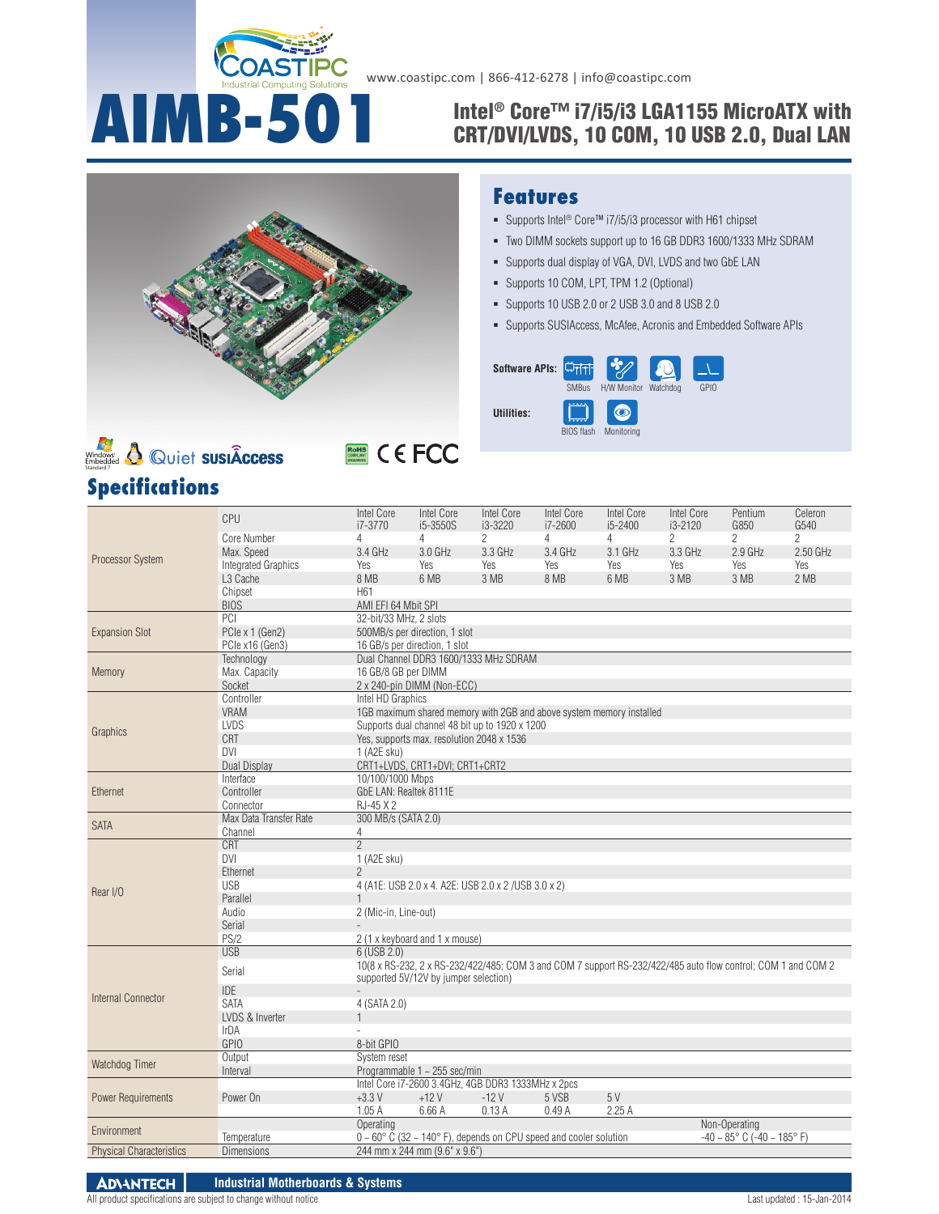

# **AIMB-501** Intel® Core™ i7/i5/i3 LGA1155 MicroATX with<br>CRT/DVI/LVDS. 10 COM. 10 USB 2.0. Dual LAN CRT/DVI/LVDS, 10 COM, 10 USB 2.0, Dual LAN





# **ROHS** CEFCC

#### **Features**

- Supports Intel<sup>®</sup> Core™ i7/i5/i3 processor with H61 chipset
- Two DIMM sockets support up to 16 GB DDR3 1600/1333 MHz SDRAM
- Supports dual display of VGA, DVI, LVDS and two GbE LAN
- Supports 10 COM, LPT, TPM 1.2 (Optional)
- Supports 10 USB 2.0 or 2 USB 3.0 and 8 USB 2.0
- Supports SUSIAccess, McAfee, Acronis and Embedded Software APIs

| Software APIs: |                                   |                                       |      |
|----------------|-----------------------------------|---------------------------------------|------|
| Utilities:     | <b>SMBus</b><br><b>BIOS flash</b> | H/W Monitor<br>Watchdog<br>Monitoring | GPIO |

|                                 | CPU                        | <b>Intel Core</b><br>i7-3770 | <b>Intel Core</b><br>i5-3550S                                                               | Intel Core<br>$i3 - 3220$                                                                                    | Intel Core<br>i7-2600 | <b>Intel Core</b><br>i5-2400 | <b>Intel Core</b><br>$i3 - 2120$ | Pentium<br>G850                                     | Celeron<br>G540 |  |  |
|---------------------------------|----------------------------|------------------------------|---------------------------------------------------------------------------------------------|--------------------------------------------------------------------------------------------------------------|-----------------------|------------------------------|----------------------------------|-----------------------------------------------------|-----------------|--|--|
|                                 | Core Number                | $\overline{4}$               | 4                                                                                           | $\overline{2}$                                                                                               | 4                     | 4                            | $\overline{2}$                   | $\overline{2}$                                      | $\overline{c}$  |  |  |
|                                 | Max. Speed                 | 3.4 GHz                      | 3.0 GHz                                                                                     | 3.3 GHz                                                                                                      | 3.4 GHz               | 3.1 GHz                      | 3.3 GHz                          | $2.9$ GHz                                           | 2.50 GHz        |  |  |
| Processor System                | <b>Integrated Graphics</b> | <b>Yes</b>                   | Yes                                                                                         | Yes                                                                                                          | Yes                   | Yes                          | Yes                              | Yes                                                 | Yes             |  |  |
|                                 | L <sub>3</sub> Cache       | 8 MB                         | 6 MB                                                                                        | 3 MB                                                                                                         | 8 MB                  | 6 MB                         | 3 MB                             | 3 MB                                                | 2 MB            |  |  |
|                                 | Chipset                    | H <sub>61</sub>              |                                                                                             |                                                                                                              |                       |                              |                                  |                                                     |                 |  |  |
|                                 | <b>BIOS</b>                | AMI EFI 64 Mbit SPI          |                                                                                             |                                                                                                              |                       |                              |                                  |                                                     |                 |  |  |
|                                 | PCI                        | 32-bit/33 MHz, 2 slots       |                                                                                             |                                                                                                              |                       |                              |                                  |                                                     |                 |  |  |
| <b>Expansion Slot</b>           | PCle x 1 (Gen2)            |                              | 500MB/s per direction, 1 slot                                                               |                                                                                                              |                       |                              |                                  |                                                     |                 |  |  |
|                                 | PCle x16 (Gen3)            |                              | 16 GB/s per direction, 1 slot                                                               |                                                                                                              |                       |                              |                                  |                                                     |                 |  |  |
|                                 | Technology                 |                              |                                                                                             | Dual Channel DDR3 1600/1333 MHz SDRAM                                                                        |                       |                              |                                  |                                                     |                 |  |  |
|                                 | Max. Capacity              | 16 GB/8 GB per DIMM          |                                                                                             |                                                                                                              |                       |                              |                                  |                                                     |                 |  |  |
| Memory                          | Socket                     |                              | 2 x 240-pin DIMM (Non-ECC)                                                                  |                                                                                                              |                       |                              |                                  |                                                     |                 |  |  |
|                                 |                            | Intel HD Graphics            |                                                                                             |                                                                                                              |                       |                              |                                  |                                                     |                 |  |  |
|                                 | Controller<br><b>VRAM</b>  |                              |                                                                                             | 1GB maximum shared memory with 2GB and above system memory installed                                         |                       |                              |                                  |                                                     |                 |  |  |
|                                 | LVDS                       |                              |                                                                                             |                                                                                                              |                       |                              |                                  |                                                     |                 |  |  |
| Graphics                        |                            |                              | Supports dual channel 48 bit up to 1920 x 1200<br>Yes, supports max. resolution 2048 x 1536 |                                                                                                              |                       |                              |                                  |                                                     |                 |  |  |
|                                 | CRT                        |                              |                                                                                             |                                                                                                              |                       |                              |                                  |                                                     |                 |  |  |
|                                 | <b>DVI</b>                 | 1 (A <sub>2</sub> E sku)     |                                                                                             |                                                                                                              |                       |                              |                                  |                                                     |                 |  |  |
|                                 | Dual Display               |                              | CRT1+LVDS, CRT1+DVI; CRT1+CRT2                                                              |                                                                                                              |                       |                              |                                  |                                                     |                 |  |  |
|                                 | Interface                  | 10/100/1000 Mbps             |                                                                                             |                                                                                                              |                       |                              |                                  |                                                     |                 |  |  |
| Ethernet                        | Controller                 | GbE LAN: Realtek 8111E       |                                                                                             |                                                                                                              |                       |                              |                                  |                                                     |                 |  |  |
|                                 | Connector                  | RJ-45 X 2                    |                                                                                             |                                                                                                              |                       |                              |                                  |                                                     |                 |  |  |
| <b>SATA</b>                     | Max Data Transfer Rate     | 300 MB/s (SATA 2.0)          |                                                                                             |                                                                                                              |                       |                              |                                  |                                                     |                 |  |  |
|                                 | Channel                    | 4                            |                                                                                             |                                                                                                              |                       |                              |                                  |                                                     |                 |  |  |
|                                 | <b>CRT</b>                 | $\overline{2}$               |                                                                                             |                                                                                                              |                       |                              |                                  |                                                     |                 |  |  |
|                                 | <b>DVI</b>                 | 1 (A2E sku)                  |                                                                                             |                                                                                                              |                       |                              |                                  |                                                     |                 |  |  |
|                                 | Ethernet                   | $\overline{2}$               |                                                                                             |                                                                                                              |                       |                              |                                  |                                                     |                 |  |  |
| Rear I/O                        | <b>USB</b>                 |                              |                                                                                             | 4 (A1E: USB 2.0 x 4. A2E: USB 2.0 x 2 / USB 3.0 x 2)                                                         |                       |                              |                                  |                                                     |                 |  |  |
|                                 | Parallel                   | 1                            |                                                                                             |                                                                                                              |                       |                              |                                  |                                                     |                 |  |  |
|                                 | Audio                      | 2 (Mic-in, Line-out)         |                                                                                             |                                                                                                              |                       |                              |                                  |                                                     |                 |  |  |
|                                 | Serial                     |                              |                                                                                             |                                                                                                              |                       |                              |                                  |                                                     |                 |  |  |
|                                 | PS/2                       |                              | 2 (1 x keyboard and 1 x mouse)                                                              |                                                                                                              |                       |                              |                                  |                                                     |                 |  |  |
|                                 | <b>USB</b>                 | 6 (USB 2.0)                  |                                                                                             |                                                                                                              |                       |                              |                                  |                                                     |                 |  |  |
|                                 | Serial                     |                              |                                                                                             | 10(8 x RS-232, 2 x RS-232/422/485; COM 3 and COM 7 support RS-232/422/485 auto flow control; COM 1 and COM 2 |                       |                              |                                  |                                                     |                 |  |  |
|                                 |                            |                              | supported 5V/12V by jumper selection)                                                       |                                                                                                              |                       |                              |                                  |                                                     |                 |  |  |
| Internal Connector              | <b>IDE</b>                 |                              |                                                                                             |                                                                                                              |                       |                              |                                  |                                                     |                 |  |  |
|                                 | <b>SATA</b>                | 4 (SATA 2.0)                 |                                                                                             |                                                                                                              |                       |                              |                                  |                                                     |                 |  |  |
|                                 | LVDS & Inverter            |                              |                                                                                             |                                                                                                              |                       |                              |                                  |                                                     |                 |  |  |
|                                 | IrDA                       |                              |                                                                                             |                                                                                                              |                       |                              |                                  |                                                     |                 |  |  |
|                                 | <b>GPIO</b>                | 8-bit GPIO                   |                                                                                             |                                                                                                              |                       |                              |                                  |                                                     |                 |  |  |
| Watchdog Timer                  | Output                     | System reset                 |                                                                                             |                                                                                                              |                       |                              |                                  |                                                     |                 |  |  |
|                                 | Interval                   |                              | Programmable $1 \sim 255$ sec/min                                                           |                                                                                                              |                       |                              |                                  |                                                     |                 |  |  |
|                                 |                            |                              |                                                                                             | Intel Core i7-2600 3.4GHz, 4GB DDR3 1333MHz x 2pcs                                                           |                       |                              |                                  |                                                     |                 |  |  |
| <b>Power Requirements</b>       | Power On                   | $+3.3V$                      | $+12V$                                                                                      | $-12V$                                                                                                       | 5 VSB                 | 5V                           |                                  |                                                     |                 |  |  |
|                                 |                            | 1.05A                        | 6.66 A                                                                                      | 0.13A                                                                                                        | 0.49A                 | 2.25A                        |                                  |                                                     |                 |  |  |
| Environment                     |                            | Operating                    |                                                                                             |                                                                                                              |                       |                              |                                  | Non-Operating                                       |                 |  |  |
|                                 | Temperature                |                              |                                                                                             | $0 \sim 60^{\circ}$ C (32 ~ 140° F), depends on CPU speed and cooler solution                                |                       |                              |                                  | $-40 \sim 85^{\circ}$ C ( $-40 \sim 185^{\circ}$ F) |                 |  |  |
| <b>Physical Characteristics</b> | <b>Dimensions</b>          |                              | 244 mm x 244 mm (9.6" x 9.6")                                                               |                                                                                                              |                       |                              |                                  |                                                     |                 |  |  |
|                                 |                            |                              |                                                                                             |                                                                                                              |                       |                              |                                  |                                                     |                 |  |  |